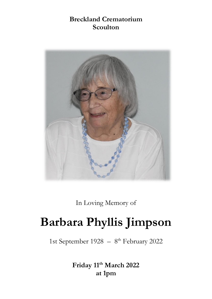## **Breckland Crematorium Scoulton**



In Loving Memory of

# **Barbara Phyllis Jimpson**

1st September 1928 - 8<sup>th</sup> February 2022

**Friday 11th March 2022 at 1pm**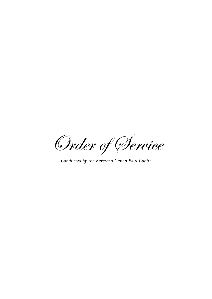Order of Service

*Conducted by the Reverend Canon Paul Cubitt*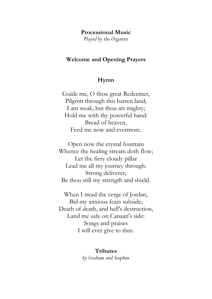#### **Processional Music**

*Played by the Organist* 

#### **Welcome and Opening Prayers**

#### **Hymn**

Guide me, O thou great Redeemer, Pilgrim through this barren land; I am weak, but thou art mighty; Hold me with thy powerful hand: Bread of heaven, Feed me now and evermore.

Open now the crystal fountain Whence the healing stream doth flow; Let the fiery cloudy pillar Lead me all my journey through: Strong deliverer, Be thou still my strength and shield.

When I tread the verge of Jordan, Bid my anxious fears subside; Death of death, and hell's destruction, Land me safe on Canaan's side: Songs and praises I will ever give to thee.

#### **Tributes**

*by Graham and Stephen*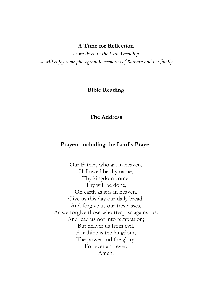#### **A Time for Reflection**

*As we listen to the Lark Ascending we will enjoy some photographic memories of Barbara and her family*

#### **Bible Reading**

#### **The Address**

#### **Prayers including the Lord's Prayer**

Our Father, who art in heaven, Hallowed be thy name, Thy kingdom come, Thy will be done, On earth as it is in heaven. Give us this day our daily bread. And forgive us our trespasses, As we forgive those who trespass against us. And lead us not into temptation; But deliver us from evil. For thine is the kingdom, The power and the glory, For ever and ever. Amen.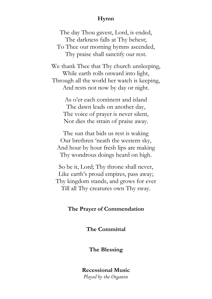### **Hymn**

The day Thou gavest, Lord, is ended, The darkness falls at Thy behest; To Thee our morning hymns ascended, Thy praise shall sanctify our rest.

We thank Thee that Thy church unsleeping, While earth rolls onward into light, Through all the world her watch is keeping, And rests not now by day or night.

> As o'er each continent and island The dawn leads on another day, The voice of prayer is never silent, Nor dies the strain of praise away.

The sun that bids us rest is waking Our brethren 'neath the western sky, And hour by hour fresh lips are making Thy wondrous doings heard on high.

So be it, Lord; Thy throne shall never, Like earth's proud empires, pass away; Thy kingdom stands, and grows for ever Till all Thy creatures own Thy sway.

#### **The Prayer of Commendation**

**The Committal**

**The Blessing**

**Recessional Music** *Played by the Organist*